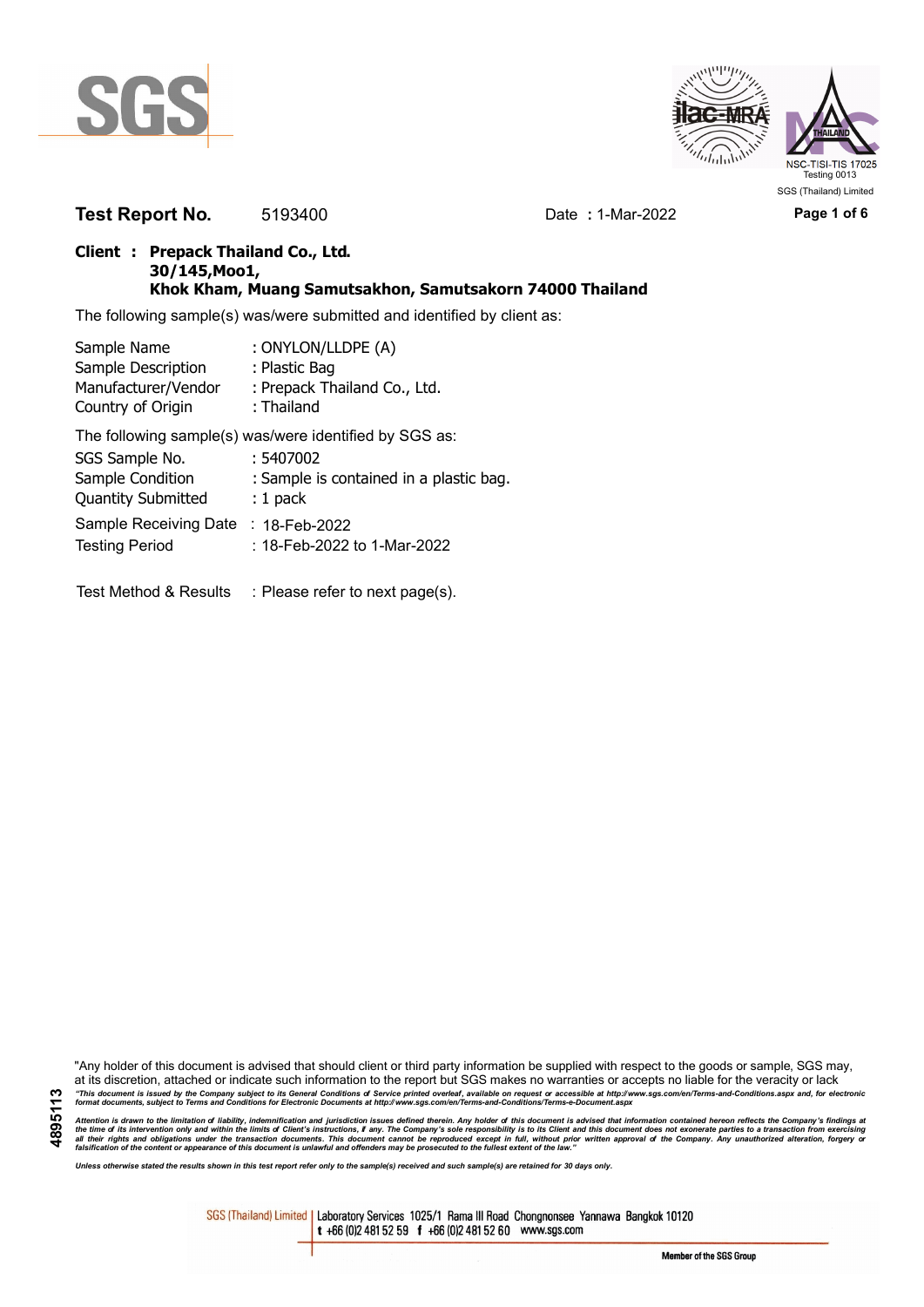



**Test Report No.** 5193400 Date **:** 1-Mar-2022 **Page 1 of 6**

## **Client : Prepack Thailand Co., Ltd. 30/145,Moo1, Khok Kham, Muang Samutsakhon, Samutsakorn 74000 Thailand**

The following sample(s) was/were submitted and identified by client as:

| Sample Name               | : ONYLON/LLDPE (A)                                     |
|---------------------------|--------------------------------------------------------|
| Sample Description        | : Plastic Bag                                          |
| Manufacturer/Vendor       | : Prepack Thailand Co., Ltd.                           |
| Country of Origin         | : Thailand                                             |
|                           | The following sample(s) was/were identified by SGS as: |
| SGS Sample No.            | : 5407002                                              |
| Sample Condition          | : Sample is contained in a plastic bag.                |
| <b>Quantity Submitted</b> | $: 1$ pack                                             |
| Sample Receiving Date     | $: 18$ -Feb-2022                                       |
| <b>Testing Period</b>     | : 18-Feb-2022 to 1-Mar-2022                            |
|                           |                                                        |
| Test Method & Results     | : Please refer to next page(s).                        |

"Any holder of this document is advised that should client or third party information be supplied with respect to the goods or sample, SGS may, at its discretion, attached or indicate such information to the report but SGS makes no warranties or accepts no liable for the veracity or lack "This document is issued by the Company subject to its General Conditions of Service printed overleaf, available on request or accessible at http://www.sgs.com/en/Terms-and-Conditions.aspx and, for electronic<br>format docume

Attention is drawn to the limitation of liability, indemnification and jurisdiction issues defined therein. Any holder of this document is advised that information contained hereon reflects the Company's findings at<br>all th

*Unless otherwise stated the results shown in this test report refer only to the sample(s) received and such sample(s) are retained for 30 days only.*

SGS (Thailand) Limited | Laboratory Services 1025/1 Rama III Road Chongnonsee Yannawa Bangkok 10120 t +66 (0)2 481 52 59 f +66 (0)2 481 52 60 www.sgs.com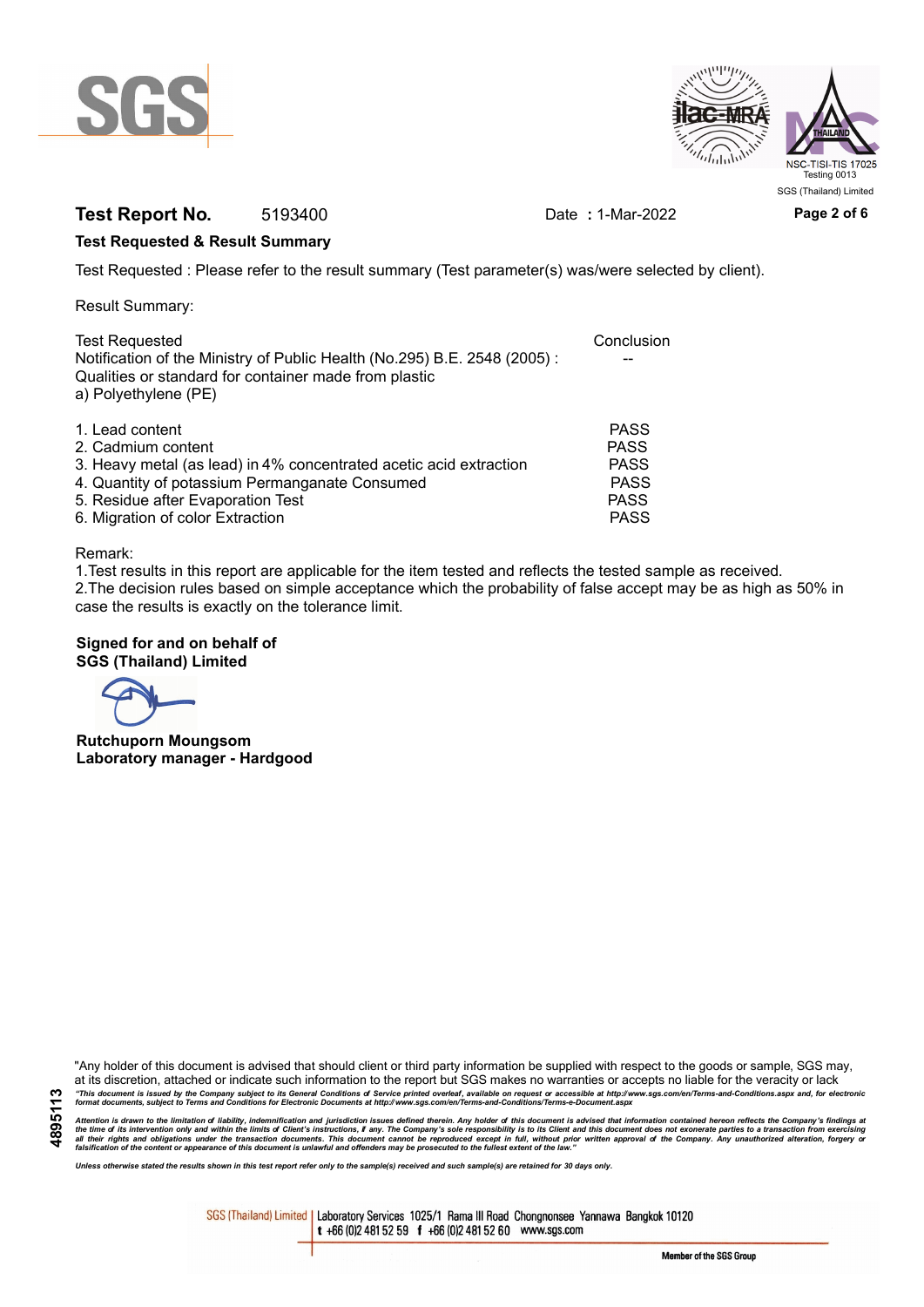



# **Test Report No.** 5193400 Date **:** 1-Mar-2022 **Page 2 of 6**

## **Test Requested & Result Summary**

Test Requested : Please refer to the result summary (Test parameter(s) was/were selected by client).

Result Summary:

| <b>Test Requested</b><br>Notification of the Ministry of Public Health (No.295) B.E. 2548 (2005): | Conclusion  |
|---------------------------------------------------------------------------------------------------|-------------|
| Qualities or standard for container made from plastic<br>a) Polyethylene (PE)                     |             |
| 1. Lead content                                                                                   | <b>PASS</b> |
| 2. Cadmium content                                                                                | <b>PASS</b> |
| 3. Heavy metal (as lead) in 4% concentrated acetic acid extraction                                | <b>PASS</b> |
| 4. Quantity of potassium Permanganate Consumed                                                    | <b>PASS</b> |
| 5. Residue after Evaporation Test                                                                 | <b>PASS</b> |
| 6. Migration of color Extraction                                                                  | <b>PASS</b> |

#### Remark:

1.Test results in this report are applicable for the item tested and reflects the tested sample as received. 2.The decision rules based on simple acceptance which the probability of false accept may be as high as 50% in case the results is exactly on the tolerance limit.

### **Signed for and on behalf of SGS (Thailand) Limited**

**Rutchuporn Moungsom Laboratory manager - Hardgood**

"Any holder of this document is advised that should client or third party information be supplied with respect to the goods or sample, SGS may, at its discretion, attached or indicate such information to the report but SGS makes no warranties or accepts no liable for the veracity or lack "This document is issued by the Company subject to its General Conditions of Service printed overleaf, available on request or accessible at http://www.sgs.com/en/Terms-and-Conditions.aspx and, for electronic<br>format docume

Attention is drawn to the limitation of liability, indemnification and jurisdiction issues defined therein. Any holder of this document is advised that information contained hereon reflects the Company's findings at<br>all th

*Unless otherwise stated the results shown in this test report refer only to the sample(s) received and such sample(s) are retained for 30 days only.*

SGS (Thailand) Limited | Laboratory Services 1025/1 Rama III Road Chongnonsee Yannawa Bangkok 10120 t +66 (0)2 481 52 59 f +66 (0)2 481 52 60 www.sgs.com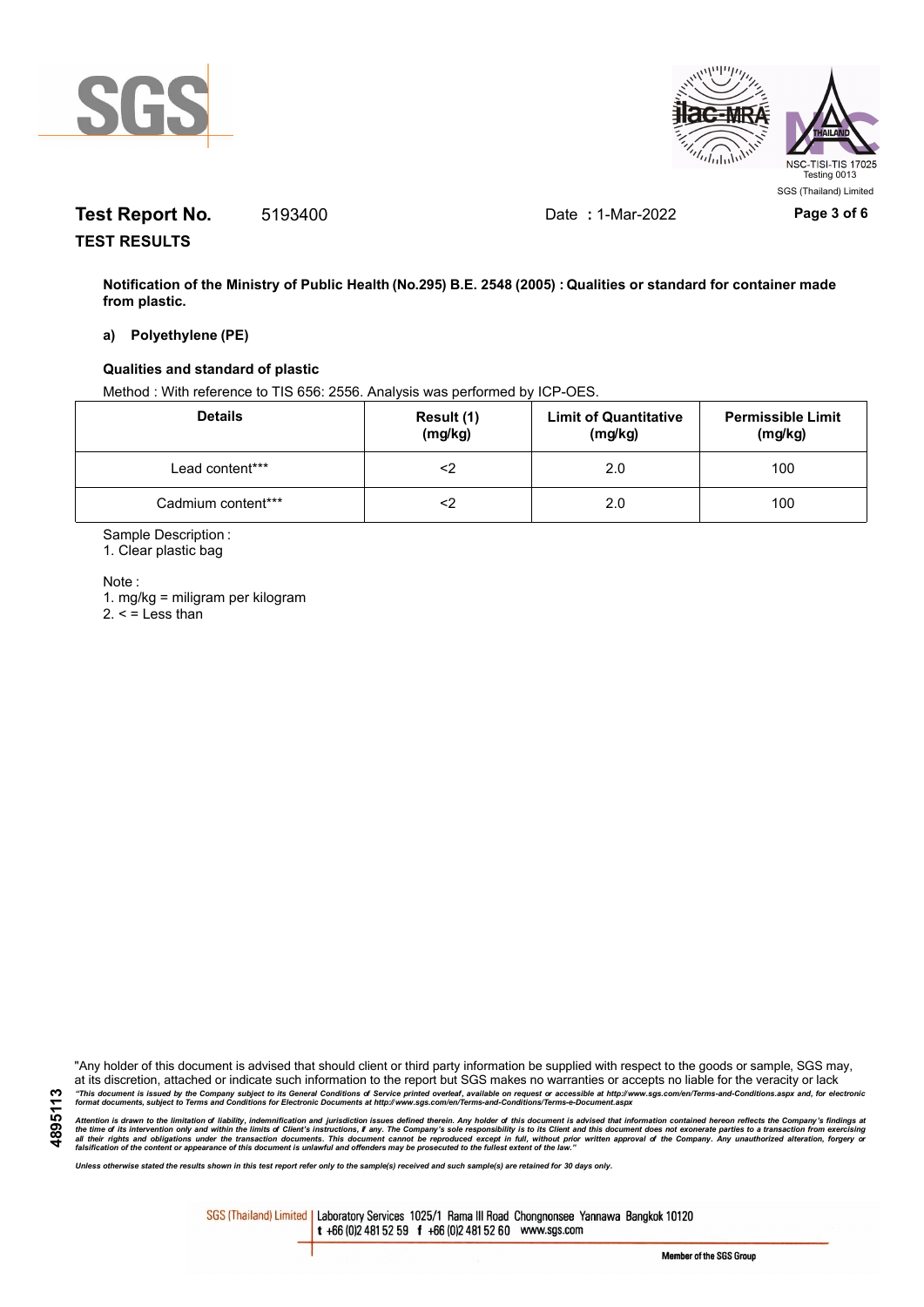



# **Test Report No.** 5193400 Date **:** 1-Mar-2022 **Page 3 of 6**

**TEST RESULTS**

**Notification of the Ministry of Public Health (No.295) B.E. 2548 (2005) : Qualities or standard for container made from plastic.**

### **a) Polyethylene (PE)**

#### **Qualities and standard of plastic**

Method : With reference to TIS 656: 2556. Analysis was performed by ICP-OES.

| <b>Details</b>     | Result (1)<br>(mg/kg) | <b>Limit of Quantitative</b><br>(mg/kg) | <b>Permissible Limit</b><br>(mg/kg) |
|--------------------|-----------------------|-----------------------------------------|-------------------------------------|
| Lead content***    |                       | 2.0                                     | 100                                 |
| Cadmium content*** |                       | 2.0                                     | 100                                 |

Sample Description :

1. Clear plastic bag

Note :

1. mg/kg = miligram per kilogram  $2. <$  = Less than

"Any holder of this document is advised that should client or third party information be supplied with respect to the goods or sample, SGS may, at its discretion, attached or indicate such information to the report but SGS makes no warranties or accepts no liable for the veracity or lack "This document is issued by the Company subject to its General Conditions of Service printed overleaf, available on request or accessible at http://www.sgs.com/en/Terms-and-Conditions.aspx and, for electronic<br>format docume

Attention is drawn to the limitation of liability, indemnification and jurisdiction issues defined therein. Any holder of this document is advised that information contained hereon reflects the Company's findings at<br>all th

*Unless otherwise stated the results shown in this test report refer only to the sample(s) received and such sample(s) are retained for 30 days only.*

SGS (Thailand) Limited | Laboratory Services 1025/1 Rama III Road Chongnonsee Yannawa Bangkok 10120 t +66 (0)2 481 52 59 f +66 (0)2 481 52 60 www.sgs.com

**4895113**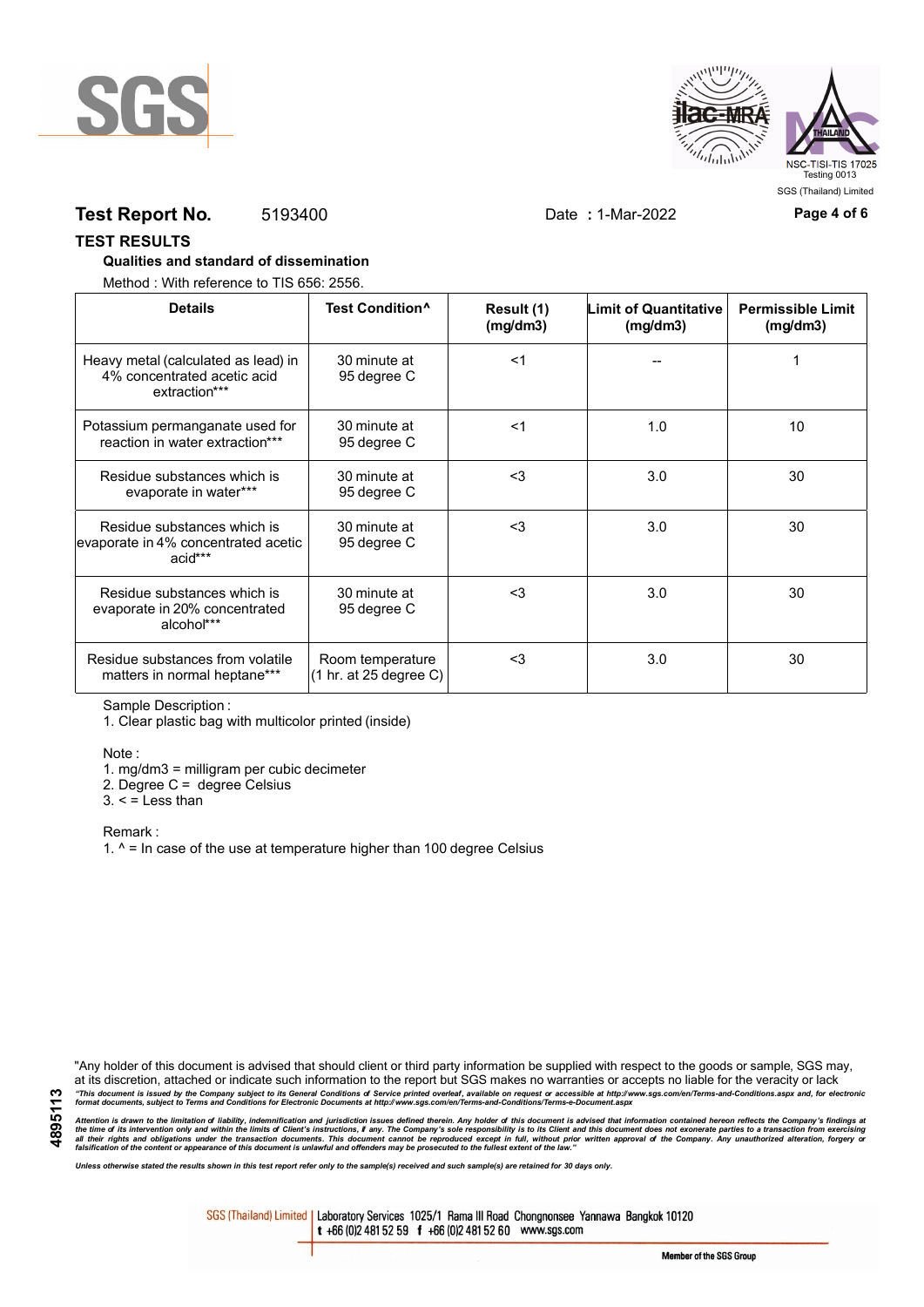



## **Test Report No.** 5193400 Date **:** 1-Mar-2022 **Page 4 of 6**

#### **TEST RESULTS**

### **Qualities and standard of dissemination**

Method : With reference to TIS 656: 2556.

| <b>Details</b>                                                                      | Test Condition <sup>^</sup>                | Result (1)<br>(mg/dm3) | Limit of Quantitative<br>(mg/dm3) | <b>Permissible Limit</b><br>(mg/dm3) |
|-------------------------------------------------------------------------------------|--------------------------------------------|------------------------|-----------------------------------|--------------------------------------|
| Heavy metal (calculated as lead) in<br>4% concentrated acetic acid<br>extraction*** | 30 minute at<br>95 degree C                | $<$ 1                  |                                   |                                      |
| Potassium permanganate used for<br>reaction in water extraction***                  | 30 minute at<br>95 degree C                | $<$ 1                  | 1.0                               | 10                                   |
| Residue substances which is<br>evaporate in water***                                | 30 minute at<br>95 degree C                | $3$                    | 3.0                               | 30                                   |
| Residue substances which is<br>evaporate in 4% concentrated acetic<br>acid***       | 30 minute at<br>95 degree C                | $\leq$ 3               | 3.0                               | 30                                   |
| Residue substances which is<br>evaporate in 20% concentrated<br>alcohol***          | 30 minute at<br>95 degree C                | $3$                    | 3.0                               | 30                                   |
| Residue substances from volatile<br>matters in normal heptane***                    | Room temperature<br>(1 hr. at 25 degree C) | $3$                    | 3.0                               | 30                                   |

Sample Description :

1. Clear plastic bag with multicolor printed (inside)

Note :

1. mg/dm3 = milligram per cubic decimeter

2. Degree C = degree Celsius

 $3. <$  = Less than

Remark :

1.  $^{\circ}$  = In case of the use at temperature higher than 100 degree Celsius

"Any holder of this document is advised that should client or third party information be supplied with respect to the goods or sample, SGS may, at its discretion, attached or indicate such information to the report but SGS makes no warranties or accepts no liable for the veracity or lack "This document is issued by the Company subject to its General Conditions of Service printed overleaf, available on request or accessible at http://www.sgs.com/en/Terms-and-Conditions.aspx and, for electronic<br>format docume

Attention is drawn to the limitation of liability, indemnification and jurisdiction issues defined therein. Any holder of this document is advised that information contained hereon reflects the Company's findings at<br>all th

*Unless otherwise stated the results shown in this test report refer only to the sample(s) received and such sample(s) are retained for 30 days only.*

SGS (Thailand) Limited | Laboratory Services 1025/1 Rama III Road Chongnonsee Yannawa Bangkok 10120 t +66 (0)2 481 52 59 f +66 (0)2 481 52 60 www.sgs.com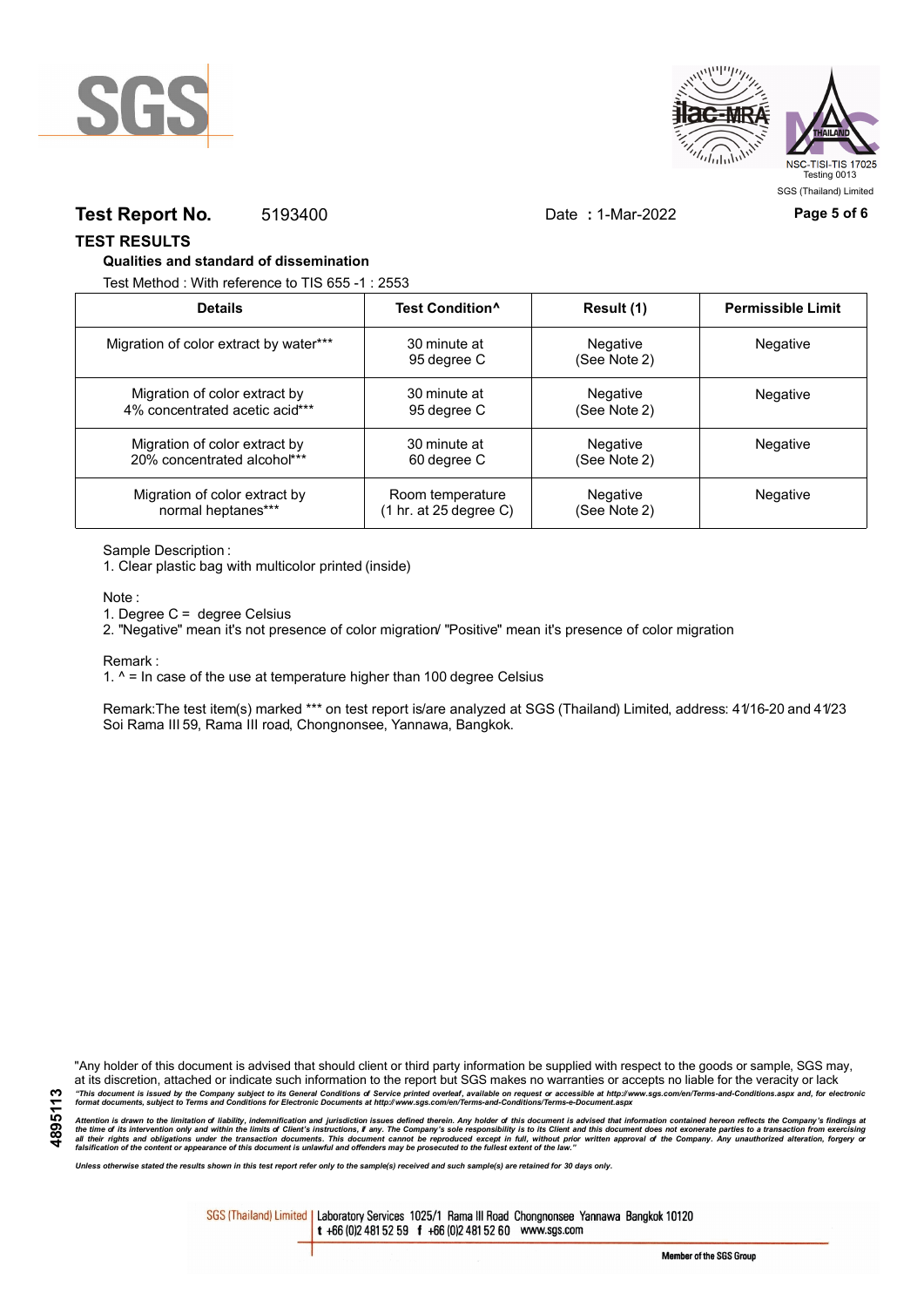



## **Test Report No.** 5193400 Date **:** 1-Mar-2022 **Page 5 of 6**

**TEST RESULTS**

#### **Qualities and standard of dissemination**

Test Method : With reference to TIS 655 -1 : 2553

| <b>Details</b>                         | Test Condition <sup>^</sup> | Result (1)               | <b>Permissible Limit</b> |
|----------------------------------------|-----------------------------|--------------------------|--------------------------|
| Migration of color extract by water*** | 30 minute at<br>95 degree C | Negative<br>(See Note 2) | Negative                 |
| Migration of color extract by          | 30 minute at                | Negative                 | Negative                 |
| 4% concentrated acetic acid***         | 95 degree C                 | (See Note 2)             |                          |
| Migration of color extract by          | 30 minute at                | Negative                 | Negative                 |
| 20% concentrated alcohol***            | 60 degree C                 | (See Note 2)             |                          |
| Migration of color extract by          | Room temperature            | Negative                 | Negative                 |
| normal heptanes***                     | (1 hr. at 25 degree C)      | (See Note 2)             |                          |

Sample Description :

1. Clear plastic bag with multicolor printed (inside)

Note :

1. Degree C = degree Celsius

2. "Negative" mean it's not presence of color migration/ "Positive" mean it's presence of color migration

Remark :

1.  $^{\circ}$  = In case of the use at temperature higher than 100 degree Celsius

Remark:The test item(s) marked \*\*\* on test report is/are analyzed at SGS (Thailand) Limited, address: 41/16-20 and 41/23 Soi Rama III 59, Rama III road, Chongnonsee, Yannawa, Bangkok.

**4895113**

"Any holder of this document is advised that should client or third party information be supplied with respect to the goods or sample, SGS may, at its discretion, attached or indicate such information to the report but SGS makes no warranties or accepts no liable for the veracity or lack "This document is issued by the Company subject to its General Conditions of Service printed overleaf, available on request or accessible at http://www.sgs.com/en/Terms-and-Conditions.aspx and, for electronic<br>format docume

Attention is drawn to the limitation of liability, indemnification and jurisdiction issues defined therein. Any holder of this document is advised that information contained hereon reflects the Company's findings at<br>all th

*Unless otherwise stated the results shown in this test report refer only to the sample(s) received and such sample(s) are retained for 30 days only.*

SGS (Thailand) Limited | Laboratory Services 1025/1 Rama III Road Chongnonsee Yannawa Bangkok 10120 t +66 (0)2 481 52 59 f +66 (0)2 481 52 60 www.sgs.com